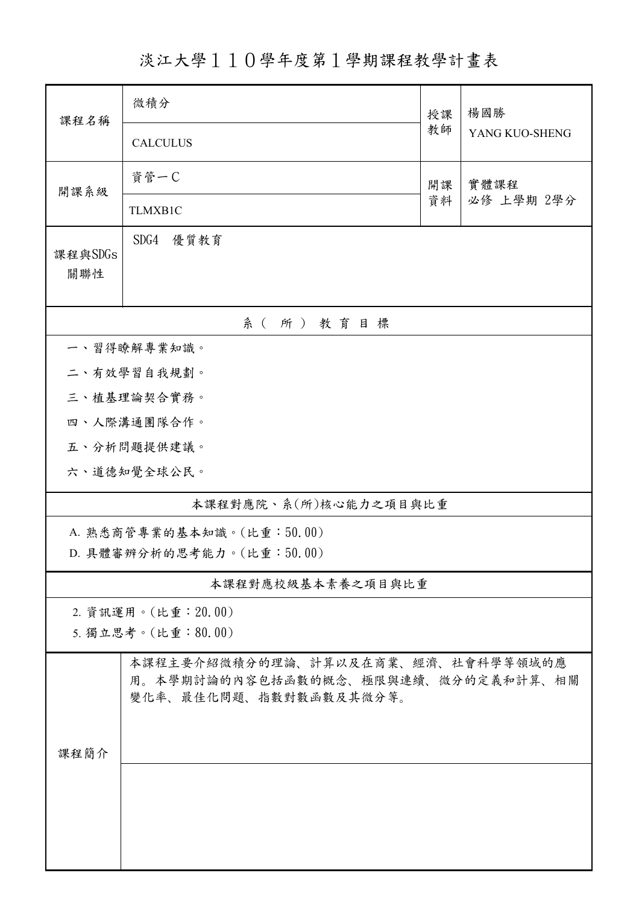淡江大學110學年度第1學期課程教學計畫表

| 課程名稱                      | 微積分                                                                                                 | 授課 | 楊國勝            |  |  |  |  |
|---------------------------|-----------------------------------------------------------------------------------------------------|----|----------------|--|--|--|--|
|                           | <b>CALCULUS</b>                                                                                     | 教師 | YANG KUO-SHENG |  |  |  |  |
| 開課系級                      | 資管一C<br>實體課程<br>開課                                                                                  |    |                |  |  |  |  |
|                           | TLMXB1C                                                                                             | 資料 | 必修 上學期 2學分     |  |  |  |  |
| 課程與SDGs<br>關聯性            | SDG4<br>優質教育                                                                                        |    |                |  |  |  |  |
| 系(所)教育目標                  |                                                                                                     |    |                |  |  |  |  |
| 一、習得瞭解專業知識。               |                                                                                                     |    |                |  |  |  |  |
| 二、有效學習自我規劃。               |                                                                                                     |    |                |  |  |  |  |
| 三、植基理論契合實務。               |                                                                                                     |    |                |  |  |  |  |
|                           | 四、人際溝通團隊合作。                                                                                         |    |                |  |  |  |  |
|                           | 五、分析問題提供建議。                                                                                         |    |                |  |  |  |  |
|                           | 六、道德知覺全球公民。                                                                                         |    |                |  |  |  |  |
| 本課程對應院、系(所)核心能力之項目與比重     |                                                                                                     |    |                |  |  |  |  |
| A. 熟悉商管專業的基本知識。(比重:50.00) |                                                                                                     |    |                |  |  |  |  |
| D. 具體審辨分析的思考能力。(比重:50.00) |                                                                                                     |    |                |  |  |  |  |
| 本課程對應校級基本素養之項目與比重         |                                                                                                     |    |                |  |  |  |  |
| 2. 資訊運用。(比重: 20.00)       |                                                                                                     |    |                |  |  |  |  |
| 5. 獨立思考。(比重:80.00)        |                                                                                                     |    |                |  |  |  |  |
|                           | 本課程主要介紹微積分的理論、計算以及在商業、經濟、社會科學等領域的應<br>用。本學期討論的內容包括函數的概念、極限與連續、微分的定義和計算、相關<br>變化率、最佳化問題、指數對數函數及其微分等。 |    |                |  |  |  |  |
| 課程簡介                      |                                                                                                     |    |                |  |  |  |  |
|                           |                                                                                                     |    |                |  |  |  |  |
|                           |                                                                                                     |    |                |  |  |  |  |
|                           |                                                                                                     |    |                |  |  |  |  |
|                           |                                                                                                     |    |                |  |  |  |  |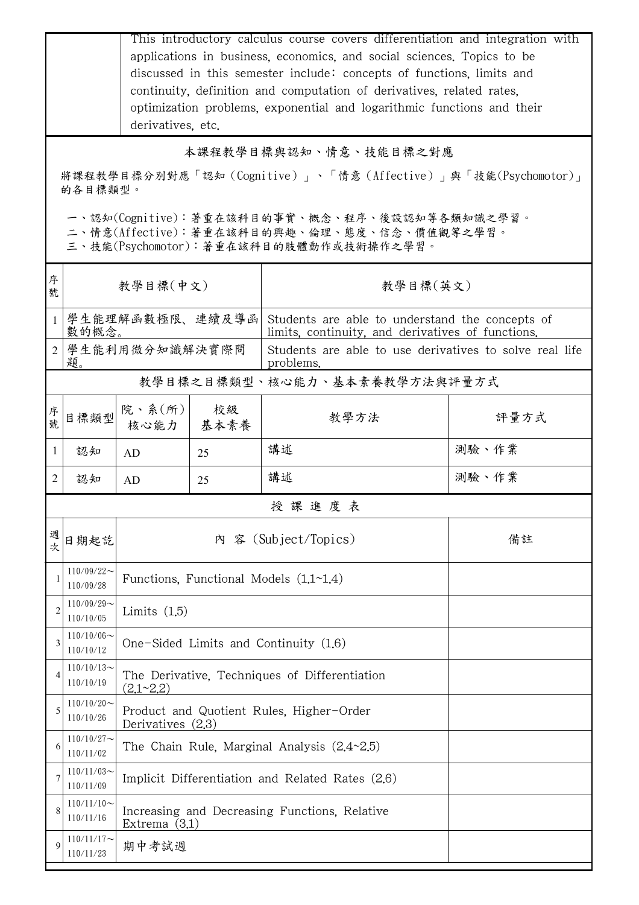|                                                                                                                                        | This introductory calculus course covers differentiation and integration with<br>applications in business, economics, and social sciences. Topics to be<br>discussed in this semester include: concepts of functions, limits and<br>continuity, definition and computation of derivatives, related rates,<br>optimization problems, exponential and logarithmic functions and their<br>derivatives, etc. |                                                                  |                                                               |                                                                                                      |       |  |  |
|----------------------------------------------------------------------------------------------------------------------------------------|----------------------------------------------------------------------------------------------------------------------------------------------------------------------------------------------------------------------------------------------------------------------------------------------------------------------------------------------------------------------------------------------------------|------------------------------------------------------------------|---------------------------------------------------------------|------------------------------------------------------------------------------------------------------|-------|--|--|
|                                                                                                                                        | 本課程教學目標與認知、情意、技能目標之對應                                                                                                                                                                                                                                                                                                                                                                                    |                                                                  |                                                               |                                                                                                      |       |  |  |
|                                                                                                                                        | 將課程教學目標分別對應「認知(Cognitive)」、「情意(Affective)」與「技能(Psychomotor)」<br>的各目標類型。                                                                                                                                                                                                                                                                                                                                  |                                                                  |                                                               |                                                                                                      |       |  |  |
| 一、認知(Cognitive):著重在該科目的事實、概念、程序、後設認知等各類知識之學習。<br>二、情意(Affective):著重在該科目的興趣、倫理、態度、信念、價值觀等之學習。<br>三、技能(Psychomotor):著重在該科目的肢體動作或技術操作之學習。 |                                                                                                                                                                                                                                                                                                                                                                                                          |                                                                  |                                                               |                                                                                                      |       |  |  |
| 序<br>號                                                                                                                                 | 教學目標(中文)                                                                                                                                                                                                                                                                                                                                                                                                 |                                                                  |                                                               | 教學目標(英文)                                                                                             |       |  |  |
| 1                                                                                                                                      | 學生能理解函數極限、連續及導函<br>數的概念。                                                                                                                                                                                                                                                                                                                                                                                 |                                                                  |                                                               | Students are able to understand the concepts of<br>limits, continuity, and derivatives of functions. |       |  |  |
|                                                                                                                                        | 2 學生能利用微分知識解決實際問<br>題。                                                                                                                                                                                                                                                                                                                                                                                   |                                                                  |                                                               | Students are able to use derivatives to solve real life<br>problems.                                 |       |  |  |
|                                                                                                                                        | 教學目標之目標類型、核心能力、基本素養教學方法與評量方式                                                                                                                                                                                                                                                                                                                                                                             |                                                                  |                                                               |                                                                                                      |       |  |  |
| 序號                                                                                                                                     | 目標類型                                                                                                                                                                                                                                                                                                                                                                                                     | 院、系(所)<br>核心能力                                                   | 校級<br>基本素養                                                    | 教學方法                                                                                                 | 評量方式  |  |  |
| $\mathbf{1}$                                                                                                                           | 認知                                                                                                                                                                                                                                                                                                                                                                                                       | AD                                                               | 25                                                            | 講述                                                                                                   | 測驗、作業 |  |  |
| $\overline{2}$                                                                                                                         | 認知                                                                                                                                                                                                                                                                                                                                                                                                       | AD                                                               | 25                                                            | 講述                                                                                                   | 測驗、作業 |  |  |
| 授課進度表                                                                                                                                  |                                                                                                                                                                                                                                                                                                                                                                                                          |                                                                  |                                                               |                                                                                                      |       |  |  |
| 週次                                                                                                                                     | 日期起訖                                                                                                                                                                                                                                                                                                                                                                                                     | 內 容 (Subject/Topics)                                             |                                                               |                                                                                                      | 備註    |  |  |
|                                                                                                                                        | $110/09/22$ ~<br>110/09/28                                                                                                                                                                                                                                                                                                                                                                               | Functions, Functional Models $(1.1~1.4)$                         |                                                               |                                                                                                      |       |  |  |
| $\overline{2}$                                                                                                                         | $110/09/29$ ~<br>110/10/05                                                                                                                                                                                                                                                                                                                                                                               | Limits $(1.5)$                                                   |                                                               |                                                                                                      |       |  |  |
| 3                                                                                                                                      | $110/10/06 \sim$<br>110/10/12                                                                                                                                                                                                                                                                                                                                                                            | One-Sided Limits and Continuity (1.6)                            |                                                               |                                                                                                      |       |  |  |
| 4                                                                                                                                      | $110/10/13$ ~<br>110/10/19                                                                                                                                                                                                                                                                                                                                                                               | The Derivative, Techniques of Differentiation<br>(2.1~2.2)       |                                                               |                                                                                                      |       |  |  |
| 5                                                                                                                                      | $110/10/20$ ~<br>110/10/26                                                                                                                                                                                                                                                                                                                                                                               |                                                                  | Product and Quotient Rules, Higher-Order<br>Derivatives (2.3) |                                                                                                      |       |  |  |
| 6                                                                                                                                      | $110/10/27$ ~<br>110/11/02                                                                                                                                                                                                                                                                                                                                                                               |                                                                  | The Chain Rule, Marginal Analysis $(2.4~2.5)$                 |                                                                                                      |       |  |  |
|                                                                                                                                        | $110/11/03$ ~<br>110/11/09                                                                                                                                                                                                                                                                                                                                                                               | Implicit Differentiation and Related Rates (2.6)                 |                                                               |                                                                                                      |       |  |  |
| 8                                                                                                                                      | $110/11/10$ ~<br>110/11/16                                                                                                                                                                                                                                                                                                                                                                               | Increasing and Decreasing Functions, Relative<br>Extrema $(3.1)$ |                                                               |                                                                                                      |       |  |  |
| q                                                                                                                                      | $110/11/17$ ~<br>110/11/23                                                                                                                                                                                                                                                                                                                                                                               | 期中考試週                                                            |                                                               |                                                                                                      |       |  |  |